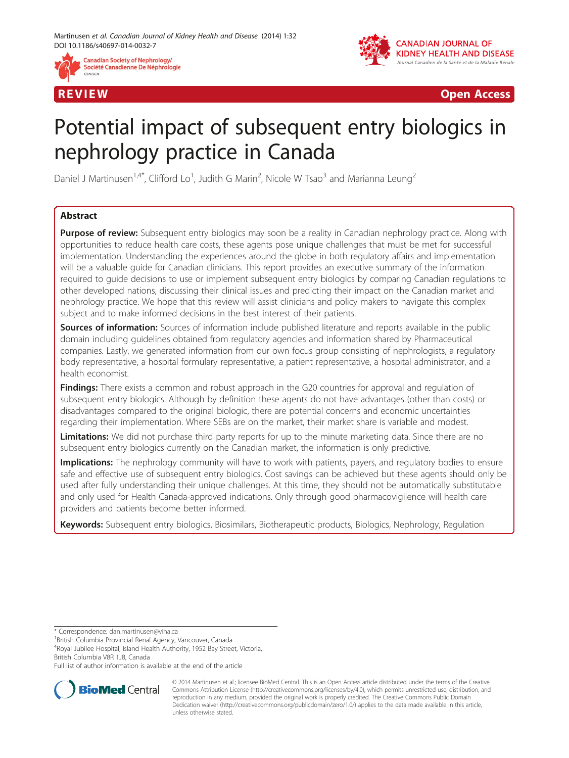



R EVI EW Open Access

# Potential impact of subsequent entry biologics in nephrology practice in Canada

Daniel J Martinusen<sup>1,4\*</sup>, Clifford Lo<sup>1</sup>, Judith G Marin<sup>2</sup>, Nicole W Tsao<sup>3</sup> and Marianna Leung<sup>2</sup>

# Abstract

Purpose of review: Subsequent entry biologics may soon be a reality in Canadian nephrology practice. Along with opportunities to reduce health care costs, these agents pose unique challenges that must be met for successful implementation. Understanding the experiences around the globe in both regulatory affairs and implementation will be a valuable guide for Canadian clinicians. This report provides an executive summary of the information required to guide decisions to use or implement subsequent entry biologics by comparing Canadian regulations to other developed nations, discussing their clinical issues and predicting their impact on the Canadian market and nephrology practice. We hope that this review will assist clinicians and policy makers to navigate this complex subject and to make informed decisions in the best interest of their patients.

Sources of information: Sources of information include published literature and reports available in the public domain including guidelines obtained from regulatory agencies and information shared by Pharmaceutical companies. Lastly, we generated information from our own focus group consisting of nephrologists, a regulatory body representative, a hospital formulary representative, a patient representative, a hospital administrator, and a health economist.

Findings: There exists a common and robust approach in the G20 countries for approval and regulation of subsequent entry biologics. Although by definition these agents do not have advantages (other than costs) or disadvantages compared to the original biologic, there are potential concerns and economic uncertainties regarding their implementation. Where SEBs are on the market, their market share is variable and modest.

Limitations: We did not purchase third party reports for up to the minute marketing data. Since there are no subsequent entry biologics currently on the Canadian market, the information is only predictive.

Implications: The nephrology community will have to work with patients, payers, and regulatory bodies to ensure safe and effective use of subsequent entry biologics. Cost savings can be achieved but these agents should only be used after fully understanding their unique challenges. At this time, they should not be automatically substitutable and only used for Health Canada-approved indications. Only through good pharmacovigilence will health care providers and patients become better informed.

Keywords: Subsequent entry biologics, Biosimilars, Biotherapeutic products, Biologics, Nephrology, Regulation

\* Correspondence: [dan.martinusen@viha.ca](mailto:dan.martinusen@viha.ca) <sup>1</sup>

British Columbia Provincial Renal Agency, Vancouver, Canada

4 Royal Jubilee Hospital, Island Health Authority, 1952 Bay Street, Victoria, British Columbia V8R 1J8, Canada

Full list of author information is available at the end of the article



© 2014 Martinusen et al.; licensee BioMed Central. This is an Open Access article distributed under the terms of the Creative Commons Attribution License [\(http://creativecommons.org/licenses/by/4.0\)](http://creativecommons.org/licenses/by/4.0), which permits unrestricted use, distribution, and reproduction in any medium, provided the original work is properly credited. The Creative Commons Public Domain Dedication waiver [\(http://creativecommons.org/publicdomain/zero/1.0/](http://creativecommons.org/publicdomain/zero/1.0/)) applies to the data made available in this article, unless otherwise stated.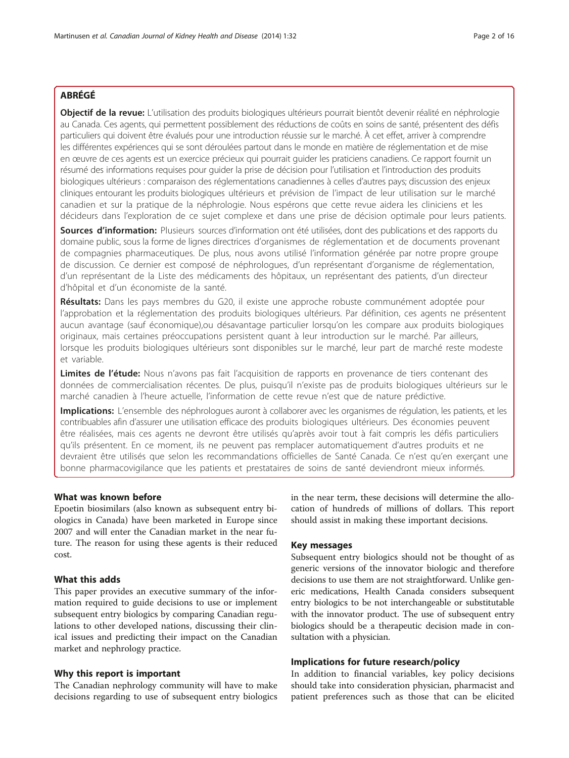# ABRÉGÉ

Objectif de la revue: L'utilisation des produits biologiques ultérieurs pourrait bientôt devenir réalité en néphrologie au Canada. Ces agents, qui permettent possiblement des réductions de coûts en soins de santé, présentent des défis particuliers qui doivent être évalués pour une introduction réussie sur le marché. À cet effet, arriver à comprendre les différentes expériences qui se sont déroulées partout dans le monde en matière de réglementation et de mise en œuvre de ces agents est un exercice précieux qui pourrait guider les praticiens canadiens. Ce rapport fournit un résumé des informations requises pour guider la prise de décision pour l'utilisation et l'introduction des produits biologiques ultérieurs : comparaison des réglementations canadiennes à celles d'autres pays; discussion des enjeux cliniques entourant les produits biologiques ultérieurs et prévision de l'impact de leur utilisation sur le marché canadien et sur la pratique de la néphrologie. Nous espérons que cette revue aidera les cliniciens et les décideurs dans l'exploration de ce sujet complexe et dans une prise de décision optimale pour leurs patients.

Sources d'information: Plusieurs sources d'information ont été utilisées, dont des publications et des rapports du domaine public, sous la forme de lignes directrices d'organismes de réglementation et de documents provenant de compagnies pharmaceutiques. De plus, nous avons utilisé l'information générée par notre propre groupe de discussion. Ce dernier est composé de néphrologues, d'un représentant d'organisme de réglementation, d'un représentant de la Liste des médicaments des hôpitaux, un représentant des patients, d'un directeur d'hôpital et d'un économiste de la santé.

Résultats: Dans les pays membres du G20, il existe une approche robuste communément adoptée pour l'approbation et la réglementation des produits biologiques ultérieurs. Par définition, ces agents ne présentent aucun avantage (sauf économique),ou désavantage particulier lorsqu'on les compare aux produits biologiques originaux, mais certaines préoccupations persistent quant à leur introduction sur le marché. Par ailleurs, lorsque les produits biologiques ultérieurs sont disponibles sur le marché, leur part de marché reste modeste et variable.

Limites de l'étude: Nous n'avons pas fait l'acquisition de rapports en provenance de tiers contenant des données de commercialisation récentes. De plus, puisqu'il n'existe pas de produits biologiques ultérieurs sur le marché canadien à l'heure actuelle, l'information de cette revue n'est que de nature prédictive.

Implications: L'ensemble des néphrologues auront à collaborer avec les organismes de régulation, les patients, et les contribuables afin d'assurer une utilisation efficace des produits biologiques ultérieurs. Des économies peuvent être réalisées, mais ces agents ne devront être utilisés qu'après avoir tout à fait compris les défis particuliers qu'ils présentent. En ce moment, ils ne peuvent pas remplacer automatiquement d'autres produits et ne devraient être utilisés que selon les recommandations officielles de Santé Canada. Ce n'est qu'en exerçant une bonne pharmacovigilance que les patients et prestataires de soins de santé deviendront mieux informés.

## What was known before

Epoetin biosimilars (also known as subsequent entry biologics in Canada) have been marketed in Europe since 2007 and will enter the Canadian market in the near future. The reason for using these agents is their reduced cost.

# What this adds

This paper provides an executive summary of the information required to guide decisions to use or implement subsequent entry biologics by comparing Canadian regulations to other developed nations, discussing their clinical issues and predicting their impact on the Canadian market and nephrology practice.

#### Why this report is important

The Canadian nephrology community will have to make decisions regarding to use of subsequent entry biologics in the near term, these decisions will determine the allocation of hundreds of millions of dollars. This report should assist in making these important decisions.

#### Key messages

Subsequent entry biologics should not be thought of as generic versions of the innovator biologic and therefore decisions to use them are not straightforward. Unlike generic medications, Health Canada considers subsequent entry biologics to be not interchangeable or substitutable with the innovator product. The use of subsequent entry biologics should be a therapeutic decision made in consultation with a physician.

## Implications for future research/policy

In addition to financial variables, key policy decisions should take into consideration physician, pharmacist and patient preferences such as those that can be elicited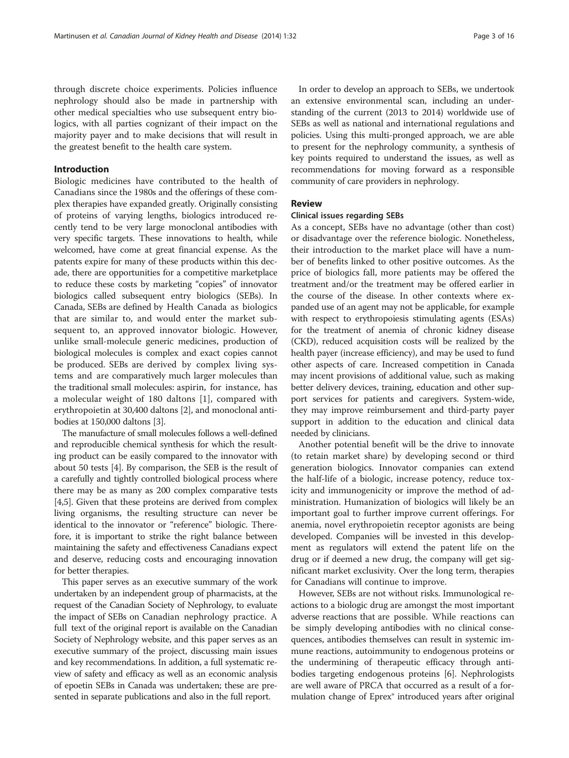through discrete choice experiments. Policies influence nephrology should also be made in partnership with other medical specialties who use subsequent entry biologics, with all parties cognizant of their impact on the majority payer and to make decisions that will result in the greatest benefit to the health care system.

## Introduction

Biologic medicines have contributed to the health of Canadians since the 1980s and the offerings of these complex therapies have expanded greatly. Originally consisting of proteins of varying lengths, biologics introduced recently tend to be very large monoclonal antibodies with very specific targets. These innovations to health, while welcomed, have come at great financial expense. As the patents expire for many of these products within this decade, there are opportunities for a competitive marketplace to reduce these costs by marketing "copies" of innovator biologics called subsequent entry biologics (SEBs). In Canada, SEBs are defined by Health Canada as biologics that are similar to, and would enter the market subsequent to, an approved innovator biologic. However, unlike small-molecule generic medicines, production of biological molecules is complex and exact copies cannot be produced. SEBs are derived by complex living systems and are comparatively much larger molecules than the traditional small molecules: aspirin, for instance, has a molecular weight of 180 daltons [\[1](#page-14-0)], compared with erythropoietin at 30,400 daltons [\[2\]](#page-14-0), and monoclonal antibodies at 150,000 daltons [\[3](#page-14-0)].

The manufacture of small molecules follows a well-defined and reproducible chemical synthesis for which the resulting product can be easily compared to the innovator with about 50 tests [\[4](#page-14-0)]. By comparison, the SEB is the result of a carefully and tightly controlled biological process where there may be as many as 200 complex comparative tests [[4,5](#page-14-0)]. Given that these proteins are derived from complex living organisms, the resulting structure can never be identical to the innovator or "reference" biologic. Therefore, it is important to strike the right balance between maintaining the safety and effectiveness Canadians expect and deserve, reducing costs and encouraging innovation for better therapies.

This paper serves as an executive summary of the work undertaken by an independent group of pharmacists, at the request of the Canadian Society of Nephrology, to evaluate the impact of SEBs on Canadian nephrology practice. A full text of the original report is available on the Canadian Society of Nephrology website, and this paper serves as an executive summary of the project, discussing main issues and key recommendations. In addition, a full systematic review of safety and efficacy as well as an economic analysis of epoetin SEBs in Canada was undertaken; these are presented in separate publications and also in the full report.

In order to develop an approach to SEBs, we undertook an extensive environmental scan, including an understanding of the current (2013 to 2014) worldwide use of SEBs as well as national and international regulations and policies. Using this multi-pronged approach, we are able to present for the nephrology community, a synthesis of key points required to understand the issues, as well as recommendations for moving forward as a responsible community of care providers in nephrology.

#### Review

# Clinical issues regarding SEBs

As a concept, SEBs have no advantage (other than cost) or disadvantage over the reference biologic. Nonetheless, their introduction to the market place will have a number of benefits linked to other positive outcomes. As the price of biologics fall, more patients may be offered the treatment and/or the treatment may be offered earlier in the course of the disease. In other contexts where expanded use of an agent may not be applicable, for example with respect to erythropoiesis stimulating agents (ESAs) for the treatment of anemia of chronic kidney disease (CKD), reduced acquisition costs will be realized by the health payer (increase efficiency), and may be used to fund other aspects of care. Increased competition in Canada may incent provisions of additional value, such as making better delivery devices, training, education and other support services for patients and caregivers. System-wide, they may improve reimbursement and third-party payer support in addition to the education and clinical data needed by clinicians.

Another potential benefit will be the drive to innovate (to retain market share) by developing second or third generation biologics. Innovator companies can extend the half-life of a biologic, increase potency, reduce toxicity and immunogenicity or improve the method of administration. Humanization of biologics will likely be an important goal to further improve current offerings. For anemia, novel erythropoietin receptor agonists are being developed. Companies will be invested in this development as regulators will extend the patent life on the drug or if deemed a new drug, the company will get significant market exclusivity. Over the long term, therapies for Canadians will continue to improve.

However, SEBs are not without risks. Immunological reactions to a biologic drug are amongst the most important adverse reactions that are possible. While reactions can be simply developing antibodies with no clinical consequences, antibodies themselves can result in systemic immune reactions, autoimmunity to endogenous proteins or the undermining of therapeutic efficacy through antibodies targeting endogenous proteins [\[6\]](#page-14-0). Nephrologists are well aware of PRCA that occurred as a result of a formulation change of Eprex® introduced years after original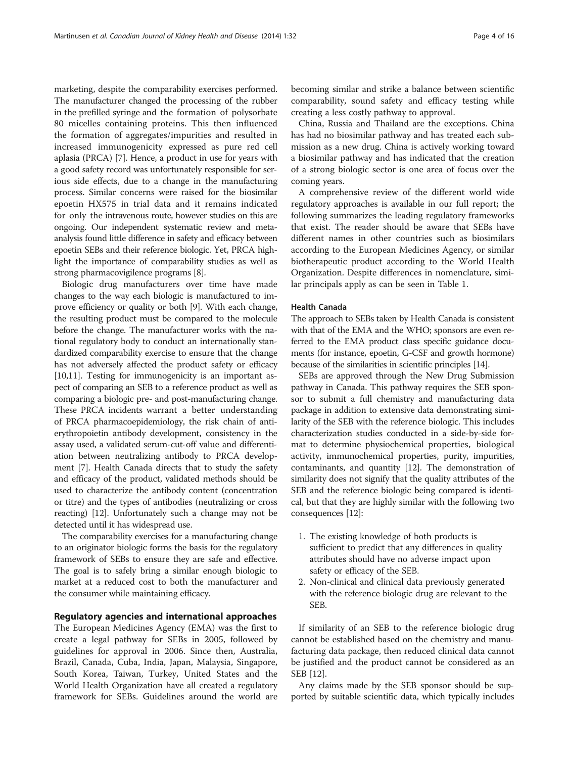marketing, despite the comparability exercises performed. The manufacturer changed the processing of the rubber in the prefilled syringe and the formation of polysorbate 80 micelles containing proteins. This then influenced the formation of aggregates/impurities and resulted in increased immunogenicity expressed as pure red cell aplasia (PRCA) [[7](#page-14-0)]. Hence, a product in use for years with a good safety record was unfortunately responsible for serious side effects, due to a change in the manufacturing process. Similar concerns were raised for the biosimilar epoetin HX575 in trial data and it remains indicated for only the intravenous route, however studies on this are ongoing. Our independent systematic review and metaanalysis found little difference in safety and efficacy between epoetin SEBs and their reference biologic. Yet, PRCA highlight the importance of comparability studies as well as strong pharmacovigilence programs [[8\]](#page-14-0).

Biologic drug manufacturers over time have made changes to the way each biologic is manufactured to improve efficiency or quality or both [[9\]](#page-14-0). With each change, the resulting product must be compared to the molecule before the change. The manufacturer works with the national regulatory body to conduct an internationally standardized comparability exercise to ensure that the change has not adversely affected the product safety or efficacy [[10,11](#page-14-0)]. Testing for immunogenicity is an important aspect of comparing an SEB to a reference product as well as comparing a biologic pre- and post-manufacturing change. These PRCA incidents warrant a better understanding of PRCA pharmacoepidemiology, the risk chain of antierythropoietin antibody development, consistency in the assay used, a validated serum-cut-off value and differentiation between neutralizing antibody to PRCA development [[7](#page-14-0)]. Health Canada directs that to study the safety and efficacy of the product, validated methods should be used to characterize the antibody content (concentration or titre) and the types of antibodies (neutralizing or cross reacting) [\[12\]](#page-14-0). Unfortunately such a change may not be detected until it has widespread use.

The comparability exercises for a manufacturing change to an originator biologic forms the basis for the regulatory framework of SEBs to ensure they are safe and effective. The goal is to safely bring a similar enough biologic to market at a reduced cost to both the manufacturer and the consumer while maintaining efficacy.

## Regulatory agencies and international approaches

The European Medicines Agency (EMA) was the first to create a legal pathway for SEBs in 2005, followed by guidelines for approval in 2006. Since then, Australia, Brazil, Canada, Cuba, India, Japan, Malaysia, Singapore, South Korea, Taiwan, Turkey, United States and the World Health Organization have all created a regulatory framework for SEBs. Guidelines around the world are

becoming similar and strike a balance between scientific comparability, sound safety and efficacy testing while creating a less costly pathway to approval.

China, Russia and Thailand are the exceptions. China has had no biosimilar pathway and has treated each submission as a new drug. China is actively working toward a biosimilar pathway and has indicated that the creation of a strong biologic sector is one area of focus over the coming years.

A comprehensive review of the different world wide regulatory approaches is available in our full report; the following summarizes the leading regulatory frameworks that exist. The reader should be aware that SEBs have different names in other countries such as biosimilars according to the European Medicines Agency, or similar biotherapeutic product according to the World Health Organization. Despite differences in nomenclature, similar principals apply as can be seen in Table [1](#page-4-0).

#### Health Canada

The approach to SEBs taken by Health Canada is consistent with that of the EMA and the WHO; sponsors are even referred to the EMA product class specific guidance documents (for instance, epoetin, G-CSF and growth hormone) because of the similarities in scientific principles [\[14\]](#page-14-0).

SEBs are approved through the New Drug Submission pathway in Canada. This pathway requires the SEB sponsor to submit a full chemistry and manufacturing data package in addition to extensive data demonstrating similarity of the SEB with the reference biologic. This includes characterization studies conducted in a side-by-side format to determine physiochemical properties, biological activity, immunochemical properties, purity, impurities, contaminants, and quantity [[12\]](#page-14-0). The demonstration of similarity does not signify that the quality attributes of the SEB and the reference biologic being compared is identical, but that they are highly similar with the following two consequences [\[12](#page-14-0)]:

- 1. The existing knowledge of both products is sufficient to predict that any differences in quality attributes should have no adverse impact upon safety or efficacy of the SEB.
- 2. Non-clinical and clinical data previously generated with the reference biologic drug are relevant to the SEB.

If similarity of an SEB to the reference biologic drug cannot be established based on the chemistry and manufacturing data package, then reduced clinical data cannot be justified and the product cannot be considered as an SEB [\[12](#page-14-0)].

Any claims made by the SEB sponsor should be supported by suitable scientific data, which typically includes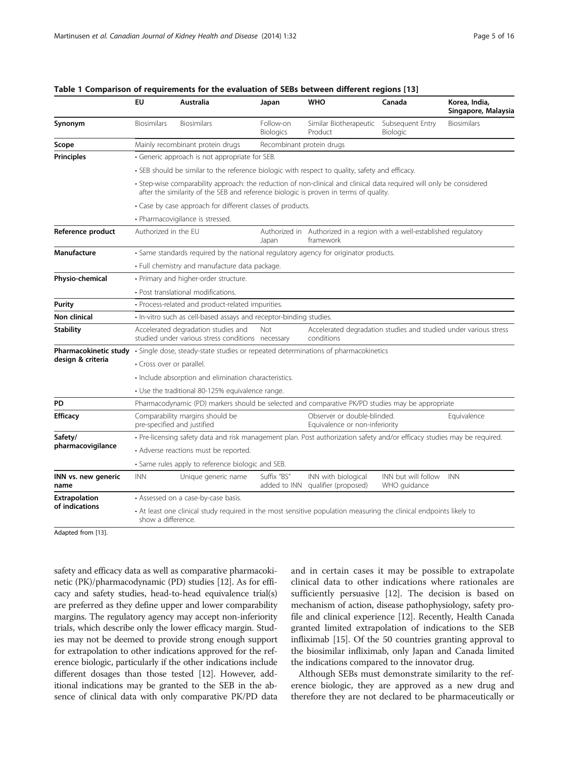|                              | EU                                                                                                                                                                                                            | <b>Australia</b>                                                                                 | Japan                         | <b>WHO</b>                                  | Canada                                                                  | Korea, India,<br>Singapore, Malaysia |  |  |  |  |
|------------------------------|---------------------------------------------------------------------------------------------------------------------------------------------------------------------------------------------------------------|--------------------------------------------------------------------------------------------------|-------------------------------|---------------------------------------------|-------------------------------------------------------------------------|--------------------------------------|--|--|--|--|
| Synonym                      | <b>Biosimilars</b>                                                                                                                                                                                            | <b>Biosimilars</b>                                                                               | Follow-on<br><b>Biologics</b> | Similar Biotherapeutic<br>Product           | Subsequent Entry<br>Biologic                                            | <b>Biosimilars</b>                   |  |  |  |  |
| Scope                        |                                                                                                                                                                                                               | Mainly recombinant protein drugs                                                                 | Recombinant protein drugs     |                                             |                                                                         |                                      |  |  |  |  |
| <b>Principles</b>            | · Generic approach is not appropriate for SEB.                                                                                                                                                                |                                                                                                  |                               |                                             |                                                                         |                                      |  |  |  |  |
|                              | • SEB should be similar to the reference biologic with respect to quality, safety and efficacy.                                                                                                               |                                                                                                  |                               |                                             |                                                                         |                                      |  |  |  |  |
|                              | · Step-wise comparability approach: the reduction of non-clinical and clinical data required will only be considered<br>after the similarity of the SEB and reference biologic is proven in terms of quality. |                                                                                                  |                               |                                             |                                                                         |                                      |  |  |  |  |
|                              | • Case by case approach for different classes of products.                                                                                                                                                    |                                                                                                  |                               |                                             |                                                                         |                                      |  |  |  |  |
|                              | • Pharmacovigilance is stressed.                                                                                                                                                                              |                                                                                                  |                               |                                             |                                                                         |                                      |  |  |  |  |
| Reference product            | Authorized in the EU                                                                                                                                                                                          |                                                                                                  | Japan                         | framework                                   | Authorized in Authorized in a region with a well-established regulatory |                                      |  |  |  |  |
| <b>Manufacture</b>           | · Same standards required by the national requlatory agency for originator products.                                                                                                                          |                                                                                                  |                               |                                             |                                                                         |                                      |  |  |  |  |
|                              | · Full chemistry and manufacture data package.                                                                                                                                                                |                                                                                                  |                               |                                             |                                                                         |                                      |  |  |  |  |
| Physio-chemical              | · Primary and higher-order structure.                                                                                                                                                                         |                                                                                                  |                               |                                             |                                                                         |                                      |  |  |  |  |
|                              | • Post translational modifications.                                                                                                                                                                           |                                                                                                  |                               |                                             |                                                                         |                                      |  |  |  |  |
| Purity                       |                                                                                                                                                                                                               | · Process-related and product-related impurities.                                                |                               |                                             |                                                                         |                                      |  |  |  |  |
| Non clinical                 |                                                                                                                                                                                                               | · In-vitro such as cell-based assays and receptor-binding studies.                               |                               |                                             |                                                                         |                                      |  |  |  |  |
| <b>Stability</b>             |                                                                                                                                                                                                               | Accelerated degradation studies and<br>studied under various stress conditions necessary         | Not                           | conditions                                  | Accelerated degradation studies and studied under various stress        |                                      |  |  |  |  |
|                              | Pharmacokinetic study · Single dose, steady-state studies or repeated determinations of pharmacokinetics                                                                                                      |                                                                                                  |                               |                                             |                                                                         |                                      |  |  |  |  |
| design & criteria            | • Cross over or parallel.                                                                                                                                                                                     |                                                                                                  |                               |                                             |                                                                         |                                      |  |  |  |  |
|                              | • Include absorption and elimination characteristics.                                                                                                                                                         |                                                                                                  |                               |                                             |                                                                         |                                      |  |  |  |  |
|                              | • Use the traditional 80-125% equivalence range.                                                                                                                                                              |                                                                                                  |                               |                                             |                                                                         |                                      |  |  |  |  |
| PD                           |                                                                                                                                                                                                               | Pharmacodynamic (PD) markers should be selected and comparative PK/PD studies may be appropriate |                               |                                             |                                                                         |                                      |  |  |  |  |
| <b>Efficacy</b>              | Comparability margins should be<br>Observer or double-blinded.<br>Equivalence<br>pre-specified and justified<br>Equivalence or non-inferiority                                                                |                                                                                                  |                               |                                             |                                                                         |                                      |  |  |  |  |
| Safety/<br>pharmacovigilance | · Pre-licensing safety data and risk management plan. Post authorization safety and/or efficacy studies may be required.                                                                                      |                                                                                                  |                               |                                             |                                                                         |                                      |  |  |  |  |
|                              | • Adverse reactions must be reported.                                                                                                                                                                         |                                                                                                  |                               |                                             |                                                                         |                                      |  |  |  |  |
|                              | · Same rules apply to reference biologic and SEB.                                                                                                                                                             |                                                                                                  |                               |                                             |                                                                         |                                      |  |  |  |  |
| INN vs. new generic<br>name  | <b>INN</b>                                                                                                                                                                                                    | Unique generic name                                                                              | Suffix "BS"<br>added to INN   | INN with biological<br>qualifier (proposed) | INN but will follow<br>WHO quidance                                     | <b>INN</b>                           |  |  |  |  |
| <b>Extrapolation</b>         | • Assessed on a case-by-case basis.                                                                                                                                                                           |                                                                                                  |                               |                                             |                                                                         |                                      |  |  |  |  |
| of indications               | • At least one clinical study required in the most sensitive population measuring the clinical endpoints likely to<br>show a difference.                                                                      |                                                                                                  |                               |                                             |                                                                         |                                      |  |  |  |  |

#### <span id="page-4-0"></span>Table 1 Comparison of requirements for the evaluation of SEBs between different regions [\[13](#page-14-0)]

Adapted from [\[13](#page-14-0)].

safety and efficacy data as well as comparative pharmacokinetic (PK)/pharmacodynamic (PD) studies [\[12\]](#page-14-0). As for efficacy and safety studies, head-to-head equivalence trial(s) are preferred as they define upper and lower comparability margins. The regulatory agency may accept non-inferiority trials, which describe only the lower efficacy margin. Studies may not be deemed to provide strong enough support for extrapolation to other indications approved for the reference biologic, particularly if the other indications include different dosages than those tested [\[12](#page-14-0)]. However, additional indications may be granted to the SEB in the absence of clinical data with only comparative PK/PD data and in certain cases it may be possible to extrapolate clinical data to other indications where rationales are sufficiently persuasive [\[12\]](#page-14-0). The decision is based on mechanism of action, disease pathophysiology, safety profile and clinical experience [[12\]](#page-14-0). Recently, Health Canada granted limited extrapolation of indications to the SEB infliximab [[15](#page-14-0)]. Of the 50 countries granting approval to the biosimilar infliximab, only Japan and Canada limited the indications compared to the innovator drug.

Although SEBs must demonstrate similarity to the reference biologic, they are approved as a new drug and therefore they are not declared to be pharmaceutically or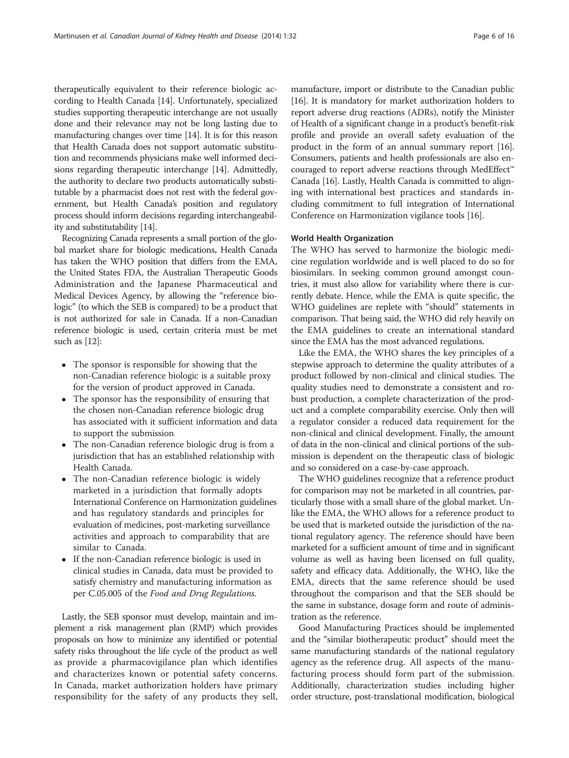therapeutically equivalent to their reference biologic according to Health Canada [\[14\]](#page-14-0). Unfortunately, specialized studies supporting therapeutic interchange are not usually done and their relevance may not be long lasting due to manufacturing changes over time [\[14](#page-14-0)]. It is for this reason that Health Canada does not support automatic substitution and recommends physicians make well informed decisions regarding therapeutic interchange [\[14\]](#page-14-0). Admittedly, the authority to declare two products automatically substitutable by a pharmacist does not rest with the federal government, but Health Canada's position and regulatory process should inform decisions regarding interchangeability and substitutability [[14](#page-14-0)].

Recognizing Canada represents a small portion of the global market share for biologic medications, Health Canada has taken the WHO position that differs from the EMA, the United States FDA, the Australian Therapeutic Goods Administration and the Japanese Pharmaceutical and Medical Devices Agency, by allowing the "reference biologic" (to which the SEB is compared) to be a product that is not authorized for sale in Canada. If a non-Canadian reference biologic is used, certain criteria must be met such as [[12](#page-14-0)]:

- The sponsor is responsible for showing that the non-Canadian reference biologic is a suitable proxy for the version of product approved in Canada.
- The sponsor has the responsibility of ensuring that the chosen non-Canadian reference biologic drug has associated with it sufficient information and data to support the submission
- The non-Canadian reference biologic drug is from a jurisdiction that has an established relationship with Health Canada.
- The non-Canadian reference biologic is widely marketed in a jurisdiction that formally adopts International Conference on Harmonization guidelines and has regulatory standards and principles for evaluation of medicines, post-marketing surveillance activities and approach to comparability that are similar to Canada.
- If the non-Canadian reference biologic is used in clinical studies in Canada, data must be provided to satisfy chemistry and manufacturing information as per C.05.005 of the Food and Drug Regulations.

Lastly, the SEB sponsor must develop, maintain and implement a risk management plan (RMP) which provides proposals on how to minimize any identified or potential safety risks throughout the life cycle of the product as well as provide a pharmacovigilance plan which identifies and characterizes known or potential safety concerns. In Canada, market authorization holders have primary responsibility for the safety of any products they sell, manufacture, import or distribute to the Canadian public [[16](#page-15-0)]. It is mandatory for market authorization holders to report adverse drug reactions (ADRs), notify the Minister of Health of a significant change in a product's benefit-risk profile and provide an overall safety evaluation of the product in the form of an annual summary report [[16](#page-15-0)]. Consumers, patients and health professionals are also encouraged to report adverse reactions through MedEffect™ Canada [[16](#page-15-0)]. Lastly, Health Canada is committed to aligning with international best practices and standards including commitment to full integration of International Conference on Harmonization vigilance tools [\[16\]](#page-15-0).

## World Health Organization

The WHO has served to harmonize the biologic medicine regulation worldwide and is well placed to do so for biosimilars. In seeking common ground amongst countries, it must also allow for variability where there is currently debate. Hence, while the EMA is quite specific, the WHO guidelines are replete with "should" statements in comparison. That being said, the WHO did rely heavily on the EMA guidelines to create an international standard since the EMA has the most advanced regulations.

Like the EMA, the WHO shares the key principles of a stepwise approach to determine the quality attributes of a product followed by non-clinical and clinical studies. The quality studies need to demonstrate a consistent and robust production, a complete characterization of the product and a complete comparability exercise. Only then will a regulator consider a reduced data requirement for the non-clinical and clinical development. Finally, the amount of data in the non-clinical and clinical portions of the submission is dependent on the therapeutic class of biologic and so considered on a case-by-case approach.

The WHO guidelines recognize that a reference product for comparison may not be marketed in all countries, particularly those with a small share of the global market. Unlike the EMA, the WHO allows for a reference product to be used that is marketed outside the jurisdiction of the national regulatory agency. The reference should have been marketed for a sufficient amount of time and in significant volume as well as having been licensed on full quality, safety and efficacy data. Additionally, the WHO, like the EMA, directs that the same reference should be used throughout the comparison and that the SEB should be the same in substance, dosage form and route of administration as the reference.

Good Manufacturing Practices should be implemented and the "similar biotherapeutic product" should meet the same manufacturing standards of the national regulatory agency as the reference drug. All aspects of the manufacturing process should form part of the submission. Additionally, characterization studies including higher order structure, post-translational modification, biological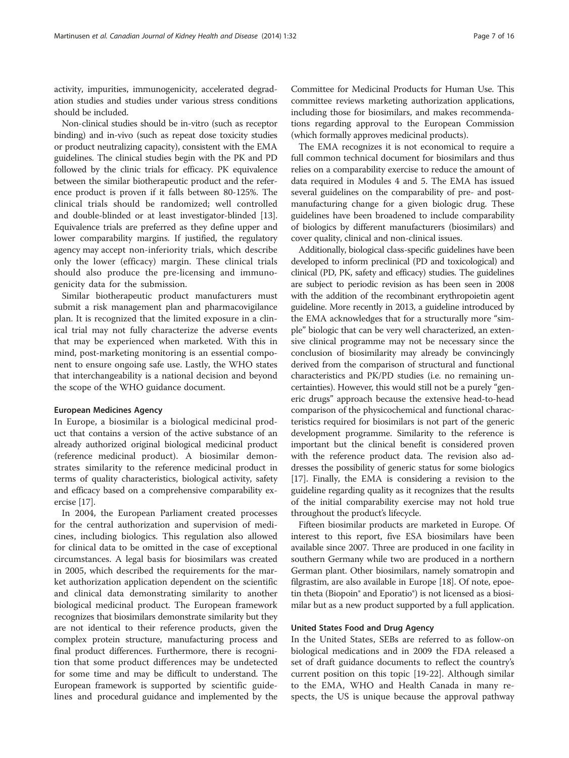activity, impurities, immunogenicity, accelerated degradation studies and studies under various stress conditions should be included.

Non-clinical studies should be in-vitro (such as receptor binding) and in-vivo (such as repeat dose toxicity studies or product neutralizing capacity), consistent with the EMA guidelines. The clinical studies begin with the PK and PD followed by the clinic trials for efficacy. PK equivalence between the similar biotherapeutic product and the reference product is proven if it falls between 80-125%. The clinical trials should be randomized; well controlled and double-blinded or at least investigator-blinded [[13](#page-14-0)]. Equivalence trials are preferred as they define upper and lower comparability margins. If justified, the regulatory agency may accept non-inferiority trials, which describe only the lower (efficacy) margin. These clinical trials should also produce the pre-licensing and immunogenicity data for the submission.

Similar biotherapeutic product manufacturers must submit a risk management plan and pharmacovigilance plan. It is recognized that the limited exposure in a clinical trial may not fully characterize the adverse events that may be experienced when marketed. With this in mind, post-marketing monitoring is an essential component to ensure ongoing safe use. Lastly, the WHO states that interchangeability is a national decision and beyond the scope of the WHO guidance document.

#### European Medicines Agency

In Europe, a biosimilar is a biological medicinal product that contains a version of the active substance of an already authorized original biological medicinal product (reference medicinal product). A biosimilar demonstrates similarity to the reference medicinal product in terms of quality characteristics, biological activity, safety and efficacy based on a comprehensive comparability exercise [\[17\]](#page-15-0).

In 2004, the European Parliament created processes for the central authorization and supervision of medicines, including biologics. This regulation also allowed for clinical data to be omitted in the case of exceptional circumstances. A legal basis for biosimilars was created in 2005, which described the requirements for the market authorization application dependent on the scientific and clinical data demonstrating similarity to another biological medicinal product. The European framework recognizes that biosimilars demonstrate similarity but they are not identical to their reference products, given the complex protein structure, manufacturing process and final product differences. Furthermore, there is recognition that some product differences may be undetected for some time and may be difficult to understand. The European framework is supported by scientific guidelines and procedural guidance and implemented by the

Committee for Medicinal Products for Human Use. This committee reviews marketing authorization applications, including those for biosimilars, and makes recommendations regarding approval to the European Commission (which formally approves medicinal products).

The EMA recognizes it is not economical to require a full common technical document for biosimilars and thus relies on a comparability exercise to reduce the amount of data required in Modules 4 and 5. The EMA has issued several guidelines on the comparability of pre- and postmanufacturing change for a given biologic drug. These guidelines have been broadened to include comparability of biologics by different manufacturers (biosimilars) and cover quality, clinical and non-clinical issues.

Additionally, biological class-specific guidelines have been developed to inform preclinical (PD and toxicological) and clinical (PD, PK, safety and efficacy) studies. The guidelines are subject to periodic revision as has been seen in 2008 with the addition of the recombinant erythropoietin agent guideline. More recently in 2013, a guideline introduced by the EMA acknowledges that for a structurally more "simple" biologic that can be very well characterized, an extensive clinical programme may not be necessary since the conclusion of biosimilarity may already be convincingly derived from the comparison of structural and functional characteristics and PK/PD studies (i.e. no remaining uncertainties). However, this would still not be a purely "generic drugs" approach because the extensive head-to-head comparison of the physicochemical and functional characteristics required for biosimilars is not part of the generic development programme. Similarity to the reference is important but the clinical benefit is considered proven with the reference product data. The revision also addresses the possibility of generic status for some biologics [[17](#page-15-0)]. Finally, the EMA is considering a revision to the guideline regarding quality as it recognizes that the results of the initial comparability exercise may not hold true throughout the product's lifecycle.

Fifteen biosimilar products are marketed in Europe. Of interest to this report, five ESA biosimilars have been available since 2007. Three are produced in one facility in southern Germany while two are produced in a northern German plant. Other biosimilars, namely somatropin and filgrastim, are also available in Europe [[18](#page-15-0)]. Of note, epoetin theta (Biopoin® and Eporatio®) is not licensed as a biosimilar but as a new product supported by a full application.

#### United States Food and Drug Agency

In the United States, SEBs are referred to as follow-on biological medications and in 2009 the FDA released a set of draft guidance documents to reflect the country's current position on this topic [\[19-22](#page-15-0)]. Although similar to the EMA, WHO and Health Canada in many respects, the US is unique because the approval pathway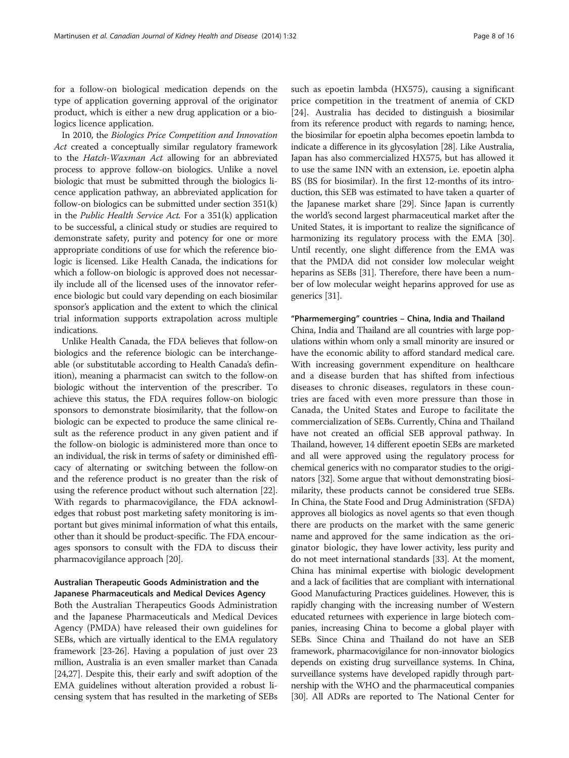for a follow-on biological medication depends on the type of application governing approval of the originator product, which is either a new drug application or a biologics licence application.

In 2010, the Biologics Price Competition and Innovation Act created a conceptually similar regulatory framework to the Hatch-Waxman Act allowing for an abbreviated process to approve follow-on biologics. Unlike a novel biologic that must be submitted through the biologics licence application pathway, an abbreviated application for follow-on biologics can be submitted under section 351(k) in the Public Health Service Act. For a 351(k) application to be successful, a clinical study or studies are required to demonstrate safety, purity and potency for one or more appropriate conditions of use for which the reference biologic is licensed. Like Health Canada, the indications for which a follow-on biologic is approved does not necessarily include all of the licensed uses of the innovator reference biologic but could vary depending on each biosimilar sponsor's application and the extent to which the clinical trial information supports extrapolation across multiple indications.

Unlike Health Canada, the FDA believes that follow-on biologics and the reference biologic can be interchangeable (or substitutable according to Health Canada's definition), meaning a pharmacist can switch to the follow-on biologic without the intervention of the prescriber. To achieve this status, the FDA requires follow-on biologic sponsors to demonstrate biosimilarity, that the follow-on biologic can be expected to produce the same clinical result as the reference product in any given patient and if the follow-on biologic is administered more than once to an individual, the risk in terms of safety or diminished efficacy of alternating or switching between the follow-on and the reference product is no greater than the risk of using the reference product without such alternation [[22](#page-15-0)]. With regards to pharmacovigilance, the FDA acknowledges that robust post marketing safety monitoring is important but gives minimal information of what this entails, other than it should be product-specific. The FDA encourages sponsors to consult with the FDA to discuss their pharmacovigilance approach [[20](#page-15-0)].

## Australian Therapeutic Goods Administration and the Japanese Pharmaceuticals and Medical Devices Agency

Both the Australian Therapeutics Goods Administration and the Japanese Pharmaceuticals and Medical Devices Agency (PMDA) have released their own guidelines for SEBs, which are virtually identical to the EMA regulatory framework [\[23-26](#page-15-0)]. Having a population of just over 23 million, Australia is an even smaller market than Canada [[24,27](#page-15-0)]. Despite this, their early and swift adoption of the EMA guidelines without alteration provided a robust licensing system that has resulted in the marketing of SEBs

such as epoetin lambda (HX575), causing a significant price competition in the treatment of anemia of CKD [[24\]](#page-15-0). Australia has decided to distinguish a biosimilar from its reference product with regards to naming; hence, the biosimilar for epoetin alpha becomes epoetin lambda to indicate a difference in its glycosylation [\[28\]](#page-15-0). Like Australia, Japan has also commercialized HX575, but has allowed it to use the same INN with an extension, i.e. epoetin alpha BS (BS for biosimilar). In the first 12-months of its introduction, this SEB was estimated to have taken a quarter of the Japanese market share [\[29\]](#page-15-0). Since Japan is currently the world's second largest pharmaceutical market after the United States, it is important to realize the significance of harmonizing its regulatory process with the EMA [[30](#page-15-0)]. Until recently, one slight difference from the EMA was that the PMDA did not consider low molecular weight heparins as SEBs [\[31\]](#page-15-0). Therefore, there have been a number of low molecular weight heparins approved for use as generics [\[31\]](#page-15-0).

## "Pharmemerging" countries – China, India and Thailand

China, India and Thailand are all countries with large populations within whom only a small minority are insured or have the economic ability to afford standard medical care. With increasing government expenditure on healthcare and a disease burden that has shifted from infectious diseases to chronic diseases, regulators in these countries are faced with even more pressure than those in Canada, the United States and Europe to facilitate the commercialization of SEBs. Currently, China and Thailand have not created an official SEB approval pathway. In Thailand, however, 14 different epoetin SEBs are marketed and all were approved using the regulatory process for chemical generics with no comparator studies to the originators [[32](#page-15-0)]. Some argue that without demonstrating biosimilarity, these products cannot be considered true SEBs. In China, the State Food and Drug Administration (SFDA) approves all biologics as novel agents so that even though there are products on the market with the same generic name and approved for the same indication as the originator biologic, they have lower activity, less purity and do not meet international standards [[33](#page-15-0)]. At the moment, China has minimal expertise with biologic development and a lack of facilities that are compliant with international Good Manufacturing Practices guidelines. However, this is rapidly changing with the increasing number of Western educated returnees with experience in large biotech companies, increasing China to become a global player with SEBs. Since China and Thailand do not have an SEB framework, pharmacovigilance for non-innovator biologics depends on existing drug surveillance systems. In China, surveillance systems have developed rapidly through partnership with the WHO and the pharmaceutical companies [[30](#page-15-0)]. All ADRs are reported to The National Center for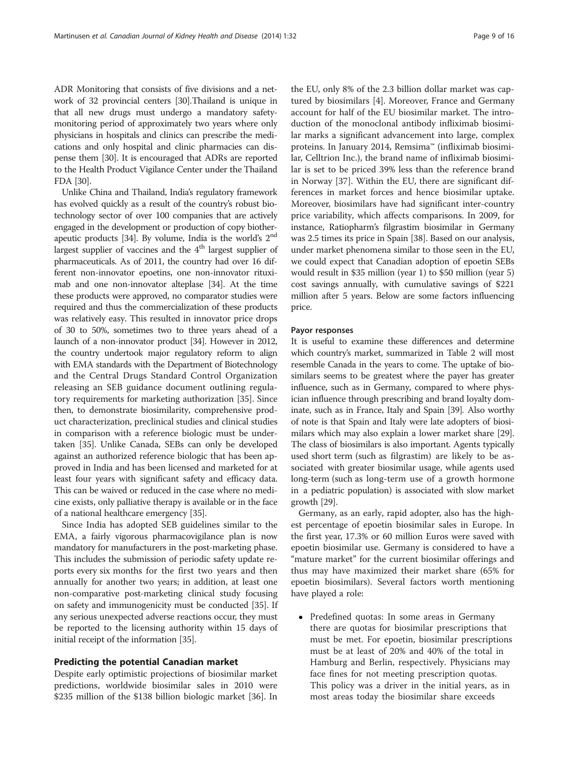ADR Monitoring that consists of five divisions and a network of 32 provincial centers [\[30\]](#page-15-0).Thailand is unique in that all new drugs must undergo a mandatory safetymonitoring period of approximately two years where only physicians in hospitals and clinics can prescribe the medications and only hospital and clinic pharmacies can dispense them [[30](#page-15-0)]. It is encouraged that ADRs are reported to the Health Product Vigilance Center under the Thailand FDA [\[30\]](#page-15-0).

Unlike China and Thailand, India's regulatory framework has evolved quickly as a result of the country's robust biotechnology sector of over 100 companies that are actively engaged in the development or production of copy biother-apeutic products [\[34\]](#page-15-0). By volume, India is the world's  $2<sup>nd</sup>$ largest supplier of vaccines and the 4<sup>th</sup> largest supplier of pharmaceuticals. As of 2011, the country had over 16 different non-innovator epoetins, one non-innovator rituximab and one non-innovator alteplase [\[34](#page-15-0)]. At the time these products were approved, no comparator studies were required and thus the commercialization of these products was relatively easy. This resulted in innovator price drops of 30 to 50%, sometimes two to three years ahead of a launch of a non-innovator product [\[34](#page-15-0)]. However in 2012, the country undertook major regulatory reform to align with EMA standards with the Department of Biotechnology and the Central Drugs Standard Control Organization releasing an SEB guidance document outlining regulatory requirements for marketing authorization [\[35\]](#page-15-0). Since then, to demonstrate biosimilarity, comprehensive product characterization, preclinical studies and clinical studies in comparison with a reference biologic must be undertaken [\[35\]](#page-15-0). Unlike Canada, SEBs can only be developed against an authorized reference biologic that has been approved in India and has been licensed and marketed for at least four years with significant safety and efficacy data. This can be waived or reduced in the case where no medicine exists, only palliative therapy is available or in the face of a national healthcare emergency [[35](#page-15-0)].

Since India has adopted SEB guidelines similar to the EMA, a fairly vigorous pharmacovigilance plan is now mandatory for manufacturers in the post-marketing phase. This includes the submission of periodic safety update reports every six months for the first two years and then annually for another two years; in addition, at least one non-comparative post-marketing clinical study focusing on safety and immunogenicity must be conducted [\[35](#page-15-0)]. If any serious unexpected adverse reactions occur, they must be reported to the licensing authority within 15 days of initial receipt of the information [[35](#page-15-0)].

## Predicting the potential Canadian market

Despite early optimistic projections of biosimilar market predictions, worldwide biosimilar sales in 2010 were \$235 million of the \$138 billion biologic market [\[36](#page-15-0)]. In

the EU, only 8% of the 2.3 billion dollar market was captured by biosimilars [\[4](#page-14-0)]. Moreover, France and Germany account for half of the EU biosimilar market. The introduction of the monoclonal antibody infliximab biosimilar marks a significant advancement into large, complex proteins. In January 2014, Remsima™ (infliximab biosimilar, Celltrion Inc.), the brand name of infliximab biosimilar is set to be priced 39% less than the reference brand in Norway [\[37](#page-15-0)]. Within the EU, there are significant differences in market forces and hence biosimilar uptake. Moreover, biosimilars have had significant inter-country price variability, which affects comparisons. In 2009, for instance, Ratiopharm's filgrastim biosimilar in Germany was 2.5 times its price in Spain [\[38\]](#page-15-0). Based on our analysis, under market phenomena similar to those seen in the EU, we could expect that Canadian adoption of epoetin SEBs would result in \$35 million (year 1) to \$50 million (year 5) cost savings annually, with cumulative savings of \$221 million after 5 years. Below are some factors influencing price.

#### Payor responses

It is useful to examine these differences and determine which country's market, summarized in Table [2](#page-9-0) will most resemble Canada in the years to come. The uptake of biosimilars seems to be greatest where the payer has greater influence, such as in Germany, compared to where physician influence through prescribing and brand loyalty dominate, such as in France, Italy and Spain [[39](#page-15-0)]. Also worthy of note is that Spain and Italy were late adopters of biosimilars which may also explain a lower market share [[29](#page-15-0)]. The class of biosimilars is also important. Agents typically used short term (such as filgrastim) are likely to be associated with greater biosimilar usage, while agents used long-term (such as long-term use of a growth hormone in a pediatric population) is associated with slow market growth [[29](#page-15-0)].

Germany, as an early, rapid adopter, also has the highest percentage of epoetin biosimilar sales in Europe. In the first year, 17.3% or 60 million Euros were saved with epoetin biosimilar use. Germany is considered to have a "mature market" for the current biosimilar offerings and thus may have maximized their market share (65% for epoetin biosimilars). Several factors worth mentioning have played a role:

 Predefined quotas: In some areas in Germany there are quotas for biosimilar prescriptions that must be met. For epoetin, biosimilar prescriptions must be at least of 20% and 40% of the total in Hamburg and Berlin, respectively. Physicians may face fines for not meeting prescription quotas. This policy was a driver in the initial years, as in most areas today the biosimilar share exceeds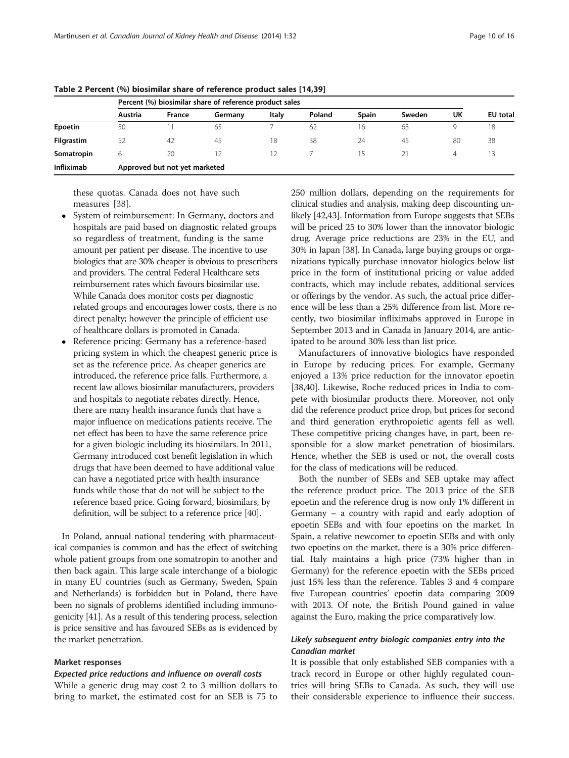|                   | Percent (%) biosimilar share of reference product sales |        |         |       |        |              |        |    |                 |
|-------------------|---------------------------------------------------------|--------|---------|-------|--------|--------------|--------|----|-----------------|
|                   | Austria                                                 | France | Germany | Italy | Poland | <b>Spain</b> | Sweden | UK | <b>EU</b> total |
| Epoetin           | 50                                                      |        | 65      |       | 62     | 16           | 63     |    | 18              |
| <b>Filgrastim</b> | 52                                                      | 42     | 45      | 18    | 38     | 24           | 45     | 80 | 38              |
| Somatropin        | 6                                                       | 20     |         |       |        | 15           |        | 4  | $\prec$         |
| <b>Infliximab</b> | Approved but not yet marketed                           |        |         |       |        |              |        |    |                 |

<span id="page-9-0"></span>Table 2 Percent (%) biosimilar share of reference product sales [\[14](#page-14-0)[,39](#page-15-0)]

these quotas. Canada does not have such measures [[38\]](#page-15-0).

- System of reimbursement: In Germany, doctors and hospitals are paid based on diagnostic related groups so regardless of treatment, funding is the same amount per patient per disease. The incentive to use biologics that are 30% cheaper is obvious to prescribers and providers. The central Federal Healthcare sets reimbursement rates which favours biosimilar use. While Canada does monitor costs per diagnostic related groups and encourages lower costs, there is no direct penalty; however the principle of efficient use of healthcare dollars is promoted in Canada.
- Reference pricing: Germany has a reference-based pricing system in which the cheapest generic price is set as the reference price. As cheaper generics are introduced, the reference price falls. Furthermore, a recent law allows biosimilar manufacturers, providers and hospitals to negotiate rebates directly. Hence, there are many health insurance funds that have a major influence on medications patients receive. The net effect has been to have the same reference price for a given biologic including its biosimilars. In 2011, Germany introduced cost benefit legislation in which drugs that have been deemed to have additional value can have a negotiated price with health insurance funds while those that do not will be subject to the reference based price. Going forward, biosimilars, by definition, will be subject to a reference price [\[40](#page-15-0)].

In Poland, annual national tendering with pharmaceutical companies is common and has the effect of switching whole patient groups from one somatropin to another and then back again. This large scale interchange of a biologic in many EU countries (such as Germany, Sweden, Spain and Netherlands) is forbidden but in Poland, there have been no signals of problems identified including immunogenicity [[41](#page-15-0)]. As a result of this tendering process, selection is price sensitive and has favoured SEBs as is evidenced by the market penetration.

#### Market responses

#### Expected price reductions and influence on overall costs

While a generic drug may cost 2 to 3 million dollars to bring to market, the estimated cost for an SEB is 75 to 250 million dollars, depending on the requirements for clinical studies and analysis, making deep discounting unlikely [\[42,43\]](#page-15-0). Information from Europe suggests that SEBs will be priced 25 to 30% lower than the innovator biologic drug. Average price reductions are 23% in the EU, and 30% in Japan [[38](#page-15-0)]. In Canada, large buying groups or organizations typically purchase innovator biologics below list price in the form of institutional pricing or value added contracts, which may include rebates, additional services or offerings by the vendor. As such, the actual price difference will be less than a 25% difference from list. More recently, two biosimilar infliximabs approved in Europe in September 2013 and in Canada in January 2014, are anticipated to be around 30% less than list price.

Manufacturers of innovative biologics have responded in Europe by reducing prices. For example, Germany enjoyed a 13% price reduction for the innovator epoetin [[38,40\]](#page-15-0). Likewise, Roche reduced prices in India to compete with biosimilar products there. Moreover, not only did the reference product price drop, but prices for second and third generation erythropoietic agents fell as well. These competitive pricing changes have, in part, been responsible for a slow market penetration of biosimilars. Hence, whether the SEB is used or not, the overall costs for the class of medications will be reduced.

Both the number of SEBs and SEB uptake may affect the reference product price. The 2013 price of the SEB epoetin and the reference drug is now only 1% different in Germany – a country with rapid and early adoption of epoetin SEBs and with four epoetins on the market. In Spain, a relative newcomer to epoetin SEBs and with only two epoetins on the market, there is a 30% price differential. Italy maintains a high price (73% higher than in Germany) for the reference epoetin with the SEBs priced just 15% less than the reference. Tables [3](#page-10-0) and [4](#page-10-0) compare five European countries' epoetin data comparing 2009 with 2013. Of note, the British Pound gained in value against the Euro, making the price comparatively low.

## Likely subsequent entry biologic companies entry into the Canadian market

It is possible that only established SEB companies with a track record in Europe or other highly regulated countries will bring SEBs to Canada. As such, they will use their considerable experience to influence their success.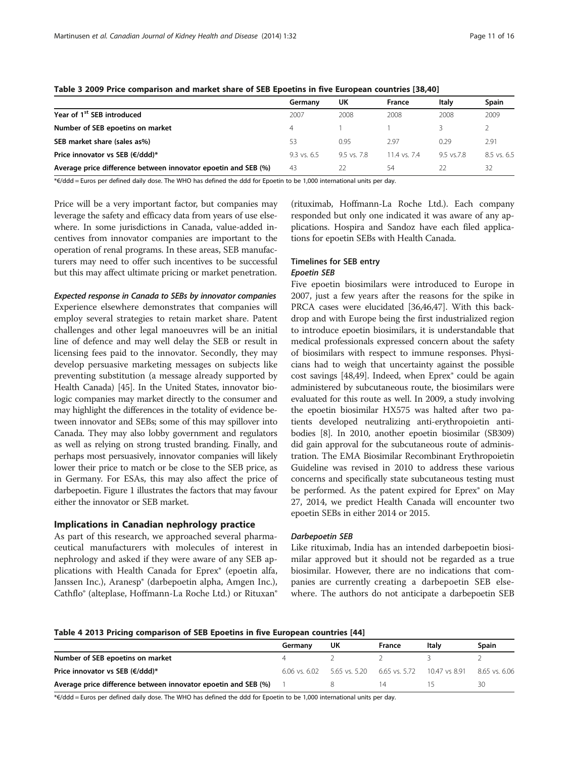|                                                                | Germany       | UK          | France         | Italy      | Spain       |
|----------------------------------------------------------------|---------------|-------------|----------------|------------|-------------|
| Year of 1 <sup>st</sup> SEB introduced                         | 2007          | 2008        | 2008           | 2008       | 2009        |
| Number of SEB epoetins on market                               | 4             |             |                |            |             |
| SEB market share (sales as%)                                   | 53            | 0.95        | 297            | 0.29       | 2.91        |
| Price innovator vs SEB $(\epsilon/ddd)^*$                      | $9.3$ vs. 6.5 | 9.5 vs. 7.8 | 11.4 vs. $7.4$ | 9.5 vs.7.8 | 8.5 vs. 6.5 |
| Average price difference between innovator epoetin and SEB (%) | 43            |             | 54             |            | 32          |

## <span id="page-10-0"></span>Table 3 2009 Price comparison and market share of SEB Epoetins in five European countries [[38,40](#page-15-0)]

\*€/ddd = Euros per defined daily dose. The WHO has defined the ddd for Epoetin to be 1,000 international units per day.

Price will be a very important factor, but companies may leverage the safety and efficacy data from years of use elsewhere. In some jurisdictions in Canada, value-added incentives from innovator companies are important to the operation of renal programs. In these areas, SEB manufacturers may need to offer such incentives to be successful but this may affect ultimate pricing or market penetration.

Expected response in Canada to SEBs by innovator companies Experience elsewhere demonstrates that companies will employ several strategies to retain market share. Patent challenges and other legal manoeuvres will be an initial line of defence and may well delay the SEB or result in licensing fees paid to the innovator. Secondly, they may develop persuasive marketing messages on subjects like preventing substitution (a message already supported by Health Canada) [\[45\]](#page-15-0). In the United States, innovator biologic companies may market directly to the consumer and may highlight the differences in the totality of evidence between innovator and SEBs; some of this may spillover into Canada. They may also lobby government and regulators as well as relying on strong trusted branding. Finally, and perhaps most persuasively, innovator companies will likely lower their price to match or be close to the SEB price, as in Germany. For ESAs, this may also affect the price of darbepoetin. Figure [1](#page-11-0) illustrates the factors that may favour either the innovator or SEB market.

## Implications in Canadian nephrology practice

As part of this research, we approached several pharmaceutical manufacturers with molecules of interest in nephrology and asked if they were aware of any SEB applications with Health Canada for Eprex® (epoetin alfa, Janssen Inc.), Aranesp® (darbepoetin alpha, Amgen Inc.), Cathflo® (alteplase, Hoffmann-La Roche Ltd.) or Rituxan® (rituximab, Hoffmann-La Roche Ltd.). Each company responded but only one indicated it was aware of any applications. Hospira and Sandoz have each filed applications for epoetin SEBs with Health Canada.

## Timelines for SEB entry Epoetin SEB

Five epoetin biosimilars were introduced to Europe in 2007, just a few years after the reasons for the spike in PRCA cases were elucidated [\[36,46,47](#page-15-0)]. With this backdrop and with Europe being the first industrialized region to introduce epoetin biosimilars, it is understandable that medical professionals expressed concern about the safety of biosimilars with respect to immune responses. Physicians had to weigh that uncertainty against the possible cost savings [\[48,49](#page-15-0)]. Indeed, when Eprex® could be again administered by subcutaneous route, the biosimilars were evaluated for this route as well. In 2009, a study involving the epoetin biosimilar HX575 was halted after two patients developed neutralizing anti-erythropoietin antibodies [\[8](#page-14-0)]. In 2010, another epoetin biosimilar (SB309) did gain approval for the subcutaneous route of administration. The EMA Biosimilar Recombinant Erythropoietin Guideline was revised in 2010 to address these various concerns and specifically state subcutaneous testing must be performed. As the patent expired for Eprex<sup>®</sup> on May 27, 2014, we predict Health Canada will encounter two epoetin SEBs in either 2014 or 2015.

## Darbepoetin SEB

Like rituximab, India has an intended darbepoetin biosimilar approved but it should not be regarded as a true biosimilar. However, there are no indications that companies are currently creating a darbepoetin SEB elsewhere. The authors do not anticipate a darbepoetin SEB

## Table 4 2013 Pricing comparison of SEB Epoetins in five European countries [\[44](#page-15-0)]

|                                                                | Germany | UK | France | ltalv                                                                  | Spain |
|----------------------------------------------------------------|---------|----|--------|------------------------------------------------------------------------|-------|
| Number of SEB epoetins on market                               |         |    |        |                                                                        |       |
| Price innovator vs SEB $(\epsilon/ddd)^*$                      |         |    |        | 6.06 vs. 6.02 5.65 vs. 5.20 6.65 vs. 5.72 10.47 vs. 8.91 8.65 vs. 6.06 |       |
| Average price difference between innovator epoetin and SEB (%) |         |    |        |                                                                        | 30    |

\*€/ddd = Euros per defined daily dose. The WHO has defined the ddd for Epoetin to be 1,000 international units per day.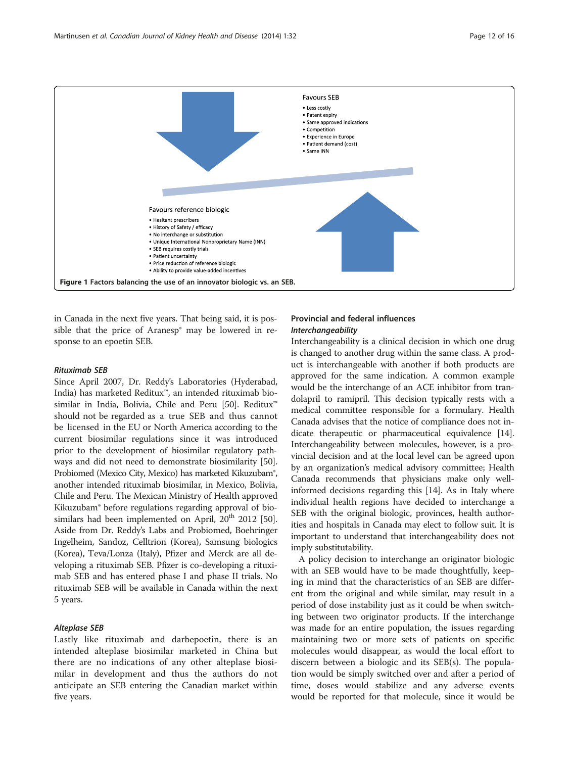<span id="page-11-0"></span>

in Canada in the next five years. That being said, it is possible that the price of Aranesp® may be lowered in response to an epoetin SEB.

## Rituximab SEB

Since April 2007, Dr. Reddy's Laboratories (Hyderabad, India) has marketed Reditux™, an intended rituximab bio-similar in India, Bolivia, Chile and Peru [\[50](#page-15-0)]. Reditux™ should not be regarded as a true SEB and thus cannot be licensed in the EU or North America according to the current biosimilar regulations since it was introduced prior to the development of biosimilar regulatory pathways and did not need to demonstrate biosimilarity [[50](#page-15-0)]. Probiomed (Mexico City, Mexico) has marketed Kikuzubam®, another intended rituximab biosimilar, in Mexico, Bolivia, Chile and Peru. The Mexican Ministry of Health approved Kikuzubam® before regulations regarding approval of biosimilars had been implemented on April,  $20^{th}$  2012 [[50](#page-15-0)]. Aside from Dr. Reddy's Labs and Probiomed, Boehringer Ingelheim, Sandoz, Celltrion (Korea), Samsung biologics (Korea), Teva/Lonza (Italy), Pfizer and Merck are all developing a rituximab SEB. Pfizer is co-developing a rituximab SEB and has entered phase I and phase II trials. No rituximab SEB will be available in Canada within the next 5 years.

## Alteplase SEB

Lastly like rituximab and darbepoetin, there is an intended alteplase biosimilar marketed in China but there are no indications of any other alteplase biosimilar in development and thus the authors do not anticipate an SEB entering the Canadian market within five years.

## Provincial and federal influences Interchangeability

Interchangeability is a clinical decision in which one drug is changed to another drug within the same class. A product is interchangeable with another if both products are approved for the same indication. A common example would be the interchange of an ACE inhibitor from trandolapril to ramipril. This decision typically rests with a medical committee responsible for a formulary. Health Canada advises that the notice of compliance does not indicate therapeutic or pharmaceutical equivalence [[14](#page-14-0)]. Interchangeability between molecules, however, is a provincial decision and at the local level can be agreed upon by an organization's medical advisory committee; Health Canada recommends that physicians make only wellinformed decisions regarding this [[14](#page-14-0)]. As in Italy where individual health regions have decided to interchange a SEB with the original biologic, provinces, health authorities and hospitals in Canada may elect to follow suit. It is important to understand that interchangeability does not imply substitutability.

A policy decision to interchange an originator biologic with an SEB would have to be made thoughtfully, keeping in mind that the characteristics of an SEB are different from the original and while similar, may result in a period of dose instability just as it could be when switching between two originator products. If the interchange was made for an entire population, the issues regarding maintaining two or more sets of patients on specific molecules would disappear, as would the local effort to discern between a biologic and its SEB(s). The population would be simply switched over and after a period of time, doses would stabilize and any adverse events would be reported for that molecule, since it would be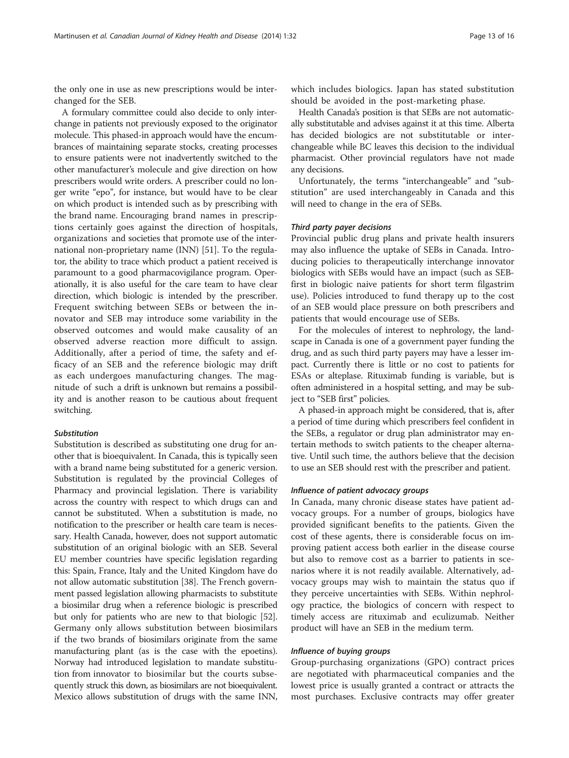the only one in use as new prescriptions would be interchanged for the SEB.

A formulary committee could also decide to only interchange in patients not previously exposed to the originator molecule. This phased-in approach would have the encumbrances of maintaining separate stocks, creating processes to ensure patients were not inadvertently switched to the other manufacturer's molecule and give direction on how prescribers would write orders. A prescriber could no longer write "epo", for instance, but would have to be clear on which product is intended such as by prescribing with the brand name. Encouraging brand names in prescriptions certainly goes against the direction of hospitals, organizations and societies that promote use of the international non-proprietary name (INN) [\[51](#page-15-0)]. To the regulator, the ability to trace which product a patient received is paramount to a good pharmacovigilance program. Operationally, it is also useful for the care team to have clear direction, which biologic is intended by the prescriber. Frequent switching between SEBs or between the innovator and SEB may introduce some variability in the observed outcomes and would make causality of an observed adverse reaction more difficult to assign. Additionally, after a period of time, the safety and efficacy of an SEB and the reference biologic may drift as each undergoes manufacturing changes. The magnitude of such a drift is unknown but remains a possibility and is another reason to be cautious about frequent switching.

## Substitution

Substitution is described as substituting one drug for another that is bioequivalent. In Canada, this is typically seen with a brand name being substituted for a generic version. Substitution is regulated by the provincial Colleges of Pharmacy and provincial legislation. There is variability across the country with respect to which drugs can and cannot be substituted. When a substitution is made, no notification to the prescriber or health care team is necessary. Health Canada, however, does not support automatic substitution of an original biologic with an SEB. Several EU member countries have specific legislation regarding this: Spain, France, Italy and the United Kingdom have do not allow automatic substitution [[38](#page-15-0)]. The French government passed legislation allowing pharmacists to substitute a biosimilar drug when a reference biologic is prescribed but only for patients who are new to that biologic [[52](#page-15-0)]. Germany only allows substitution between biosimilars if the two brands of biosimilars originate from the same manufacturing plant (as is the case with the epoetins). Norway had introduced legislation to mandate substitution from innovator to biosimilar but the courts subsequently struck this down, as biosimilars are not bioequivalent. Mexico allows substitution of drugs with the same INN, which includes biologics. Japan has stated substitution should be avoided in the post-marketing phase.

Health Canada's position is that SEBs are not automatically substitutable and advises against it at this time. Alberta has decided biologics are not substitutable or interchangeable while BC leaves this decision to the individual pharmacist. Other provincial regulators have not made any decisions.

Unfortunately, the terms "interchangeable" and "substitution" are used interchangeably in Canada and this will need to change in the era of SEBs.

## Third party payer decisions

Provincial public drug plans and private health insurers may also influence the uptake of SEBs in Canada. Introducing policies to therapeutically interchange innovator biologics with SEBs would have an impact (such as SEBfirst in biologic naive patients for short term filgastrim use). Policies introduced to fund therapy up to the cost of an SEB would place pressure on both prescribers and patients that would encourage use of SEBs.

For the molecules of interest to nephrology, the landscape in Canada is one of a government payer funding the drug, and as such third party payers may have a lesser impact. Currently there is little or no cost to patients for ESAs or alteplase. Rituximab funding is variable, but is often administered in a hospital setting, and may be subject to "SEB first" policies.

A phased-in approach might be considered, that is, after a period of time during which prescribers feel confident in the SEBs, a regulator or drug plan administrator may entertain methods to switch patients to the cheaper alternative. Until such time, the authors believe that the decision to use an SEB should rest with the prescriber and patient.

#### Influence of patient advocacy groups

In Canada, many chronic disease states have patient advocacy groups. For a number of groups, biologics have provided significant benefits to the patients. Given the cost of these agents, there is considerable focus on improving patient access both earlier in the disease course but also to remove cost as a barrier to patients in scenarios where it is not readily available. Alternatively, advocacy groups may wish to maintain the status quo if they perceive uncertainties with SEBs. Within nephrology practice, the biologics of concern with respect to timely access are rituximab and eculizumab. Neither product will have an SEB in the medium term.

#### Influence of buying groups

Group-purchasing organizations (GPO) contract prices are negotiated with pharmaceutical companies and the lowest price is usually granted a contract or attracts the most purchases. Exclusive contracts may offer greater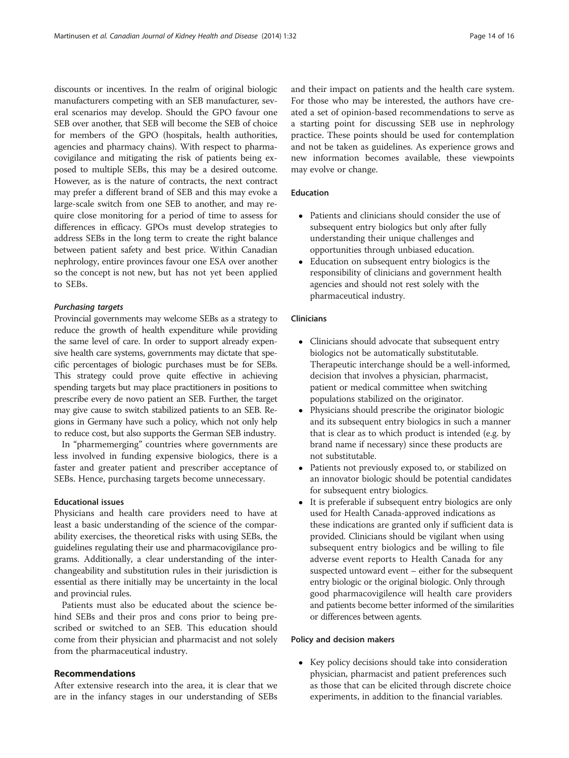discounts or incentives. In the realm of original biologic manufacturers competing with an SEB manufacturer, several scenarios may develop. Should the GPO favour one SEB over another, that SEB will become the SEB of choice for members of the GPO (hospitals, health authorities, agencies and pharmacy chains). With respect to pharmacovigilance and mitigating the risk of patients being exposed to multiple SEBs, this may be a desired outcome. However, as is the nature of contracts, the next contract may prefer a different brand of SEB and this may evoke a large-scale switch from one SEB to another, and may require close monitoring for a period of time to assess for differences in efficacy. GPOs must develop strategies to address SEBs in the long term to create the right balance between patient safety and best price. Within Canadian nephrology, entire provinces favour one ESA over another so the concept is not new, but has not yet been applied to SEBs.

## Purchasing targets

Provincial governments may welcome SEBs as a strategy to reduce the growth of health expenditure while providing the same level of care. In order to support already expensive health care systems, governments may dictate that specific percentages of biologic purchases must be for SEBs. This strategy could prove quite effective in achieving spending targets but may place practitioners in positions to prescribe every de novo patient an SEB. Further, the target may give cause to switch stabilized patients to an SEB. Regions in Germany have such a policy, which not only help to reduce cost, but also supports the German SEB industry.

In "pharmemerging" countries where governments are less involved in funding expensive biologics, there is a faster and greater patient and prescriber acceptance of SEBs. Hence, purchasing targets become unnecessary.

## Educational issues

Physicians and health care providers need to have at least a basic understanding of the science of the comparability exercises, the theoretical risks with using SEBs, the guidelines regulating their use and pharmacovigilance programs. Additionally, a clear understanding of the interchangeability and substitution rules in their jurisdiction is essential as there initially may be uncertainty in the local and provincial rules.

Patients must also be educated about the science behind SEBs and their pros and cons prior to being prescribed or switched to an SEB. This education should come from their physician and pharmacist and not solely from the pharmaceutical industry.

## Recommendations

After extensive research into the area, it is clear that we are in the infancy stages in our understanding of SEBs

and their impact on patients and the health care system. For those who may be interested, the authors have created a set of opinion-based recommendations to serve as a starting point for discussing SEB use in nephrology practice. These points should be used for contemplation and not be taken as guidelines. As experience grows and new information becomes available, these viewpoints may evolve or change.

# Education

- Patients and clinicians should consider the use of subsequent entry biologics but only after fully understanding their unique challenges and opportunities through unbiased education.
- Education on subsequent entry biologics is the responsibility of clinicians and government health agencies and should not rest solely with the pharmaceutical industry.

## Clinicians

- Clinicians should advocate that subsequent entry biologics not be automatically substitutable. Therapeutic interchange should be a well-informed, decision that involves a physician, pharmacist, patient or medical committee when switching populations stabilized on the originator.
- Physicians should prescribe the originator biologic and its subsequent entry biologics in such a manner that is clear as to which product is intended (e.g. by brand name if necessary) since these products are not substitutable.
- Patients not previously exposed to, or stabilized on an innovator biologic should be potential candidates for subsequent entry biologics.
- It is preferable if subsequent entry biologics are only used for Health Canada-approved indications as these indications are granted only if sufficient data is provided. Clinicians should be vigilant when using subsequent entry biologics and be willing to file adverse event reports to Health Canada for any suspected untoward event – either for the subsequent entry biologic or the original biologic. Only through good pharmacovigilence will health care providers and patients become better informed of the similarities or differences between agents.

#### Policy and decision makers

• Key policy decisions should take into consideration physician, pharmacist and patient preferences such as those that can be elicited through discrete choice experiments, in addition to the financial variables.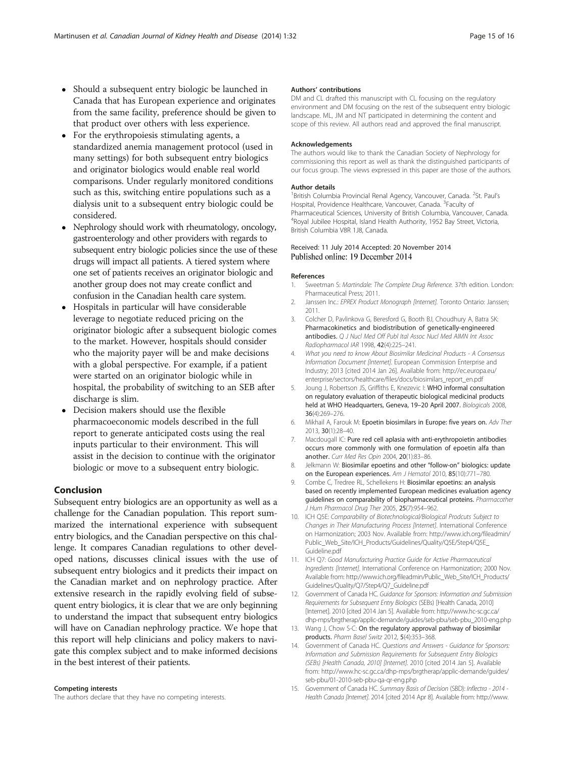- <span id="page-14-0"></span>• Should a subsequent entry biologic be launched in Canada that has European experience and originates from the same facility, preference should be given to that product over others with less experience.
- For the erythropoiesis stimulating agents, a standardized anemia management protocol (used in many settings) for both subsequent entry biologics and originator biologics would enable real world comparisons. Under regularly monitored conditions such as this, switching entire populations such as a dialysis unit to a subsequent entry biologic could be considered.
- Nephrology should work with rheumatology, oncology, gastroenterology and other providers with regards to subsequent entry biologic policies since the use of these drugs will impact all patients. A tiered system where one set of patients receives an originator biologic and another group does not may create conflict and confusion in the Canadian health care system.
- Hospitals in particular will have considerable leverage to negotiate reduced pricing on the originator biologic after a subsequent biologic comes to the market. However, hospitals should consider who the majority payer will be and make decisions with a global perspective. For example, if a patient were started on an originator biologic while in hospital, the probability of switching to an SEB after discharge is slim.
- Decision makers should use the flexible pharmacoeconomic models described in the full report to generate anticipated costs using the real inputs particular to their environment. This will assist in the decision to continue with the originator biologic or move to a subsequent entry biologic.

## Conclusion

Subsequent entry biologics are an opportunity as well as a challenge for the Canadian population. This report summarized the international experience with subsequent entry biologics, and the Canadian perspective on this challenge. It compares Canadian regulations to other developed nations, discusses clinical issues with the use of subsequent entry biologics and it predicts their impact on the Canadian market and on nephrology practice. After extensive research in the rapidly evolving field of subsequent entry biologics, it is clear that we are only beginning to understand the impact that subsequent entry biologics will have on Canadian nephrology practice. We hope that this report will help clinicians and policy makers to navigate this complex subject and to make informed decisions in the best interest of their patients.

#### Competing interests

The authors declare that they have no competing interests.

#### Authors' contributions

DM and CL drafted this manuscript with CL focusing on the regulatory environment and DM focusing on the rest of the subsequent entry biologic landscape. ML, JM and NT participated in determining the content and scope of this review. All authors read and approved the final manuscript.

#### Acknowledgements

The authors would like to thank the Canadian Society of Nephrology for commissioning this report as well as thank the distinguished participants of our focus group. The views expressed in this paper are those of the authors.

#### Author details

<sup>1</sup>British Columbia Provincial Renal Agency, Vancouver, Canada. <sup>2</sup>St. Paul's Hospital, Providence Healthcare, Vancouver, Canada. <sup>3</sup>Faculty of Pharmaceutical Sciences, University of British Columbia, Vancouver, Canada. 4 Royal Jubilee Hospital, Island Health Authority, 1952 Bay Street, Victoria, British Columbia V8R 1J8, Canada.

### Received: 11 July 2014 Accepted: 20 November 2014 Published online: 19 December 2014

#### References

- 1. Sweetman S: Martindale: The Complete Drug Reference. 37th edition. London: Pharmaceutical Press; 2011.
- 2. Janssen Inc.: EPREX Product Monograph [Internet]. Toronto Ontario: Janssen; 2011.
- 3. Colcher D, Pavlinkova G, Beresford G, Booth BJ, Choudhury A, Batra SK: Pharmacokinetics and biodistribution of genetically-engineered antibodies. Q J Nucl Med Off Publ Ital Assoc Nucl Med AIMN Int Assoc Radiopharmacol IAR 1998, 42(4):225–241.
- 4. What you need to know About Biosimilar Medicinal Products A Consensus Information Document [Internet]. European Commission Enterprise and Industry; 2013 [cited 2014 Jan 26]. Available from: [http://ec.europa.eu/](http://ec.europa.eu/enterprise/sectors/healthcare/files/docs/biosimilars_report_en.pdf) [enterprise/sectors/healthcare/files/docs/biosimilars\\_report\\_en.pdf](http://ec.europa.eu/enterprise/sectors/healthcare/files/docs/biosimilars_report_en.pdf)
- 5. Joung J, Robertson JS, Griffiths E, Knezevic I: WHO informal consultation on regulatory evaluation of therapeutic biological medicinal products held at WHO Headquarters, Geneva, 19–20 April 2007. Biologicals 2008, 36(4):269–276.
- 6. Mikhail A, Farouk M: Epoetin biosimilars in Europe: five years on. Adv Ther 2013, 30(1):28–40.
- 7. Macdougall IC: Pure red cell aplasia with anti-erythropoietin antibodies occurs more commonly with one formulation of epoetin alfa than another. Curr Med Res Opin 2004, 20(1):83–86.
- 8. Jelkmann W: Biosimilar epoetins and other "follow-on" biologics: update on the European experiences. Am J Hematol 2010, 85(10):771–780.
- 9. Combe C, Tredree RL, Schellekens H: Biosimilar epoetins: an analysis based on recently implemented European medicines evaluation agency guidelines on comparability of biopharmaceutical proteins. Pharmacother J Hum Pharmacol Drug Ther 2005, 25(7):954–962.
- 10. ICH Q5E: Comparability of Biotechnological/Biological Prodcuts Subject to Changes in Their Manufacturing Process [Internet]. International Conference on Harmonization; 2003 Nov. Available from: [http://www.ich.org/fileadmin/](http://www.ich.org/fileadmin/Public_Web_Site/ICH_Products/Guidelines/Quality/Q5E/Step4/Q5E_Guideline.pdf) [Public\\_Web\\_Site/ICH\\_Products/Guidelines/Quality/Q5E/Step4/Q5E\\_](http://www.ich.org/fileadmin/Public_Web_Site/ICH_Products/Guidelines/Quality/Q5E/Step4/Q5E_Guideline.pdf) [Guideline.pdf](http://www.ich.org/fileadmin/Public_Web_Site/ICH_Products/Guidelines/Quality/Q5E/Step4/Q5E_Guideline.pdf)
- 11. ICH Q7: Good Manufacturing Practice Guide for Active Pharmaceutical Ingredients [Internet]. International Conference on Harmonization; 2000 Nov. Available from: [http://www.ich.org/fileadmin/Public\\_Web\\_Site/ICH\\_Products/](http://www.ich.org/fileadmin/Public_Web_Site/ICH_Products/Guidelines/Quality/Q7/Step4/Q7_Guideline.pdf) [Guidelines/Quality/Q7/Step4/Q7\\_Guideline.pdf](http://www.ich.org/fileadmin/Public_Web_Site/ICH_Products/Guidelines/Quality/Q7/Step4/Q7_Guideline.pdf)
- 12. Government of Canada HC. Guidance for Sponsors: Information and Submission Requirements for Subsequent Entry Biologics (SEBs) [Health Canada, 2010] [Internet]. 2010 [cited 2014 Jan 5]. Available from: [http://www.hc-sc.gc.ca/](http://www.hc-sc.gc.ca/dhp-mps/brgtherap/applic-demande/guides/seb-pbu/seb-pbu_2010-eng.php) [dhp-mps/brgtherap/applic-demande/guides/seb-pbu/seb-pbu\\_2010-eng.php](http://www.hc-sc.gc.ca/dhp-mps/brgtherap/applic-demande/guides/seb-pbu/seb-pbu_2010-eng.php)
- 13. Wang J, Chow S-C: On the regulatory approval pathway of biosimilar products. Pharm Basel Switz 2012, 5(4):353–368.
- 14. Government of Canada HC. Questions and Answers Guidance for Sponsors: Information and Submission Requirements for Subsequent Entry Biologics (SEBs) [Health Canada, 2010] [Internet]. 2010 [cited 2014 Jan 5]. Available from: [http://www.hc-sc.gc.ca/dhp-mps/brgtherap/applic-demande/guides/](http://www.hc-sc.gc.ca/dhp-mps/brgtherap/applic-demande/guides/seb-pbu/01-2010-seb-pbu-qa-qr-eng.php) [seb-pbu/01-2010-seb-pbu-qa-qr-eng.php](http://www.hc-sc.gc.ca/dhp-mps/brgtherap/applic-demande/guides/seb-pbu/01-2010-seb-pbu-qa-qr-eng.php)
- 15. Government of Canada HC. Summary Basis of Decision (SBD): Inflectra 2014 Health Canada [Internet]. 2014 [cited 2014 Apr 8]. Available from: [http://www.](http://www.hc-sc.gc.ca/dhp-mps/prodpharma/sbd-smd/drug-med/sbd_smd_2014_inflectra_159493-eng.php)